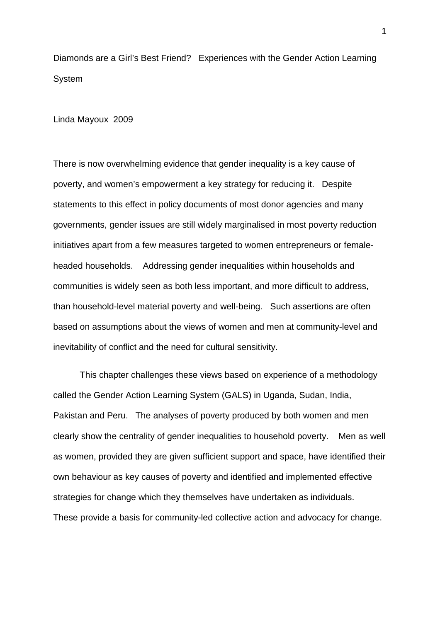Diamonds are a Girl's Best Friend? Experiences with the Gender Action Learning System

Linda Mayoux 2009

There is now overwhelming evidence that gender inequality is a key cause of poverty, and women's empowerment a key strategy for reducing it. Despite statements to this effect in policy documents of most donor agencies and many governments, gender issues are still widely marginalised in most poverty reduction initiatives apart from a few measures targeted to women entrepreneurs or femaleheaded households. Addressing gender inequalities within households and communities is widely seen as both less important, and more difficult to address, than household-level material poverty and well-being. Such assertions are often based on assumptions about the views of women and men at community-level and inevitability of conflict and the need for cultural sensitivity.

This chapter challenges these views based on experience of a methodology called the Gender Action Learning System (GALS) in Uganda, Sudan, India, Pakistan and Peru. The analyses of poverty produced by both women and men clearly show the centrality of gender inequalities to household poverty. Men as well as women, provided they are given sufficient support and space, have identified their own behaviour as key causes of poverty and identified and implemented effective strategies for change which they themselves have undertaken as individuals. These provide a basis for community-led collective action and advocacy for change.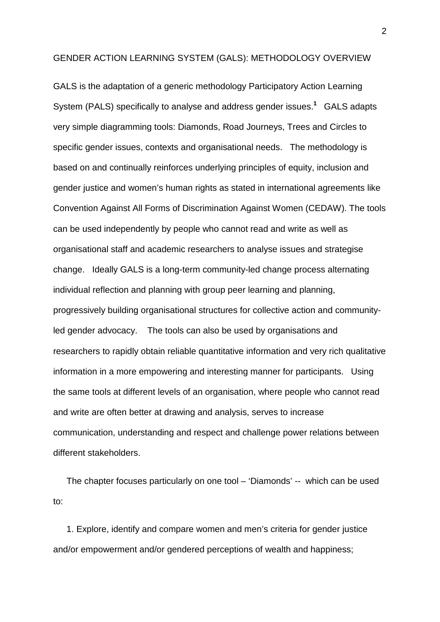#### GENDER ACTION LEARNING SYSTEM (GALS): METHODOLOGY OVERVIEW

GALS is the adaptation of a generic methodology Participatory Action Learning System (PALS) specifically to analyse and address gender issues. **1** GALS adapts very simple diagramming tools: Diamonds, Road Journeys, Trees and Circles to specific gender issues, contexts and organisational needs. The methodology is based on and continually reinforces underlying principles of equity, inclusion and gender justice and women's human rights as stated in international agreements like Convention Against All Forms of Discrimination Against Women (CEDAW). The tools can be used independently by people who cannot read and write as well as organisational staff and academic researchers to analyse issues and strategise change. Ideally GALS is a long-term community-led change process alternating individual reflection and planning with group peer learning and planning, progressively building organisational structures for collective action and communityled gender advocacy. The tools can also be used by organisations and researchers to rapidly obtain reliable quantitative information and very rich qualitative information in a more empowering and interesting manner for participants. Using the same tools at different levels of an organisation, where people who cannot read and write are often better at drawing and analysis, serves to increase communication, understanding and respect and challenge power relations between different stakeholders.

The chapter focuses particularly on one tool – 'Diamonds' -- which can be used to:

1. Explore, identify and compare women and men's criteria for gender justice and/or empowerment and/or gendered perceptions of wealth and happiness;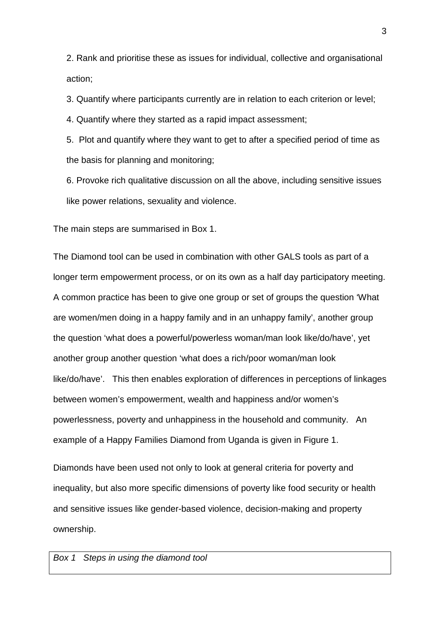2. Rank and prioritise these as issues for individual, collective and organisational action;

3. Quantify where participants currently are in relation to each criterion or level;

4. Quantify where they started as a rapid impact assessment;

5. Plot and quantify where they want to get to after a specified period of time as the basis for planning and monitoring;

6. Provoke rich qualitative discussion on all the above, including sensitive issues like power relations, sexuality and violence.

The main steps are summarised in Box 1.

The Diamond tool can be used in combination with other GALS tools as part of a longer term empowerment process, or on its own as a half day participatory meeting. A common practice has been to give one group or set of groups the question 'What are women/men doing in a happy family and in an unhappy family', another group the question 'what does a powerful/powerless woman/man look like/do/have', yet another group another question 'what does a rich/poor woman/man look like/do/have'. This then enables exploration of differences in perceptions of linkages between women's empowerment, wealth and happiness and/or women's powerlessness, poverty and unhappiness in the household and community. An example of a Happy Families Diamond from Uganda is given in Figure 1.

Diamonds have been used not only to look at general criteria for poverty and inequality, but also more specific dimensions of poverty like food security or health and sensitive issues like gender-based violence, decision-making and property ownership.

#### *Box 1 Steps in using the diamond tool*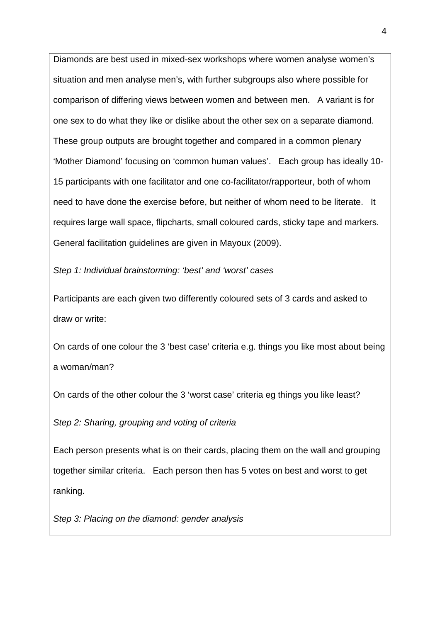Diamonds are best used in mixed-sex workshops where women analyse women's situation and men analyse men's, with further subgroups also where possible for comparison of differing views between women and between men. A variant is for one sex to do what they like or dislike about the other sex on a separate diamond. These group outputs are brought together and compared in a common plenary 'Mother Diamond' focusing on 'common human values'. Each group has ideally 10- 15 participants with one facilitator and one co-facilitator/rapporteur, both of whom need to have done the exercise before, but neither of whom need to be literate. It requires large wall space, flipcharts, small coloured cards, sticky tape and markers. General facilitation guidelines are given in Mayoux (2009).

*Step 1: Individual brainstorming: 'best' and 'worst' cases* 

Participants are each given two differently coloured sets of 3 cards and asked to draw or write:

On cards of one colour the 3 'best case' criteria e.g. things you like most about being a woman/man?

On cards of the other colour the 3 'worst case' criteria eg things you like least?

*Step 2: Sharing, grouping and voting of criteria*

Each person presents what is on their cards, placing them on the wall and grouping together similar criteria. Each person then has 5 votes on best and worst to get ranking.

*Step 3: Placing on the diamond: gender analysis*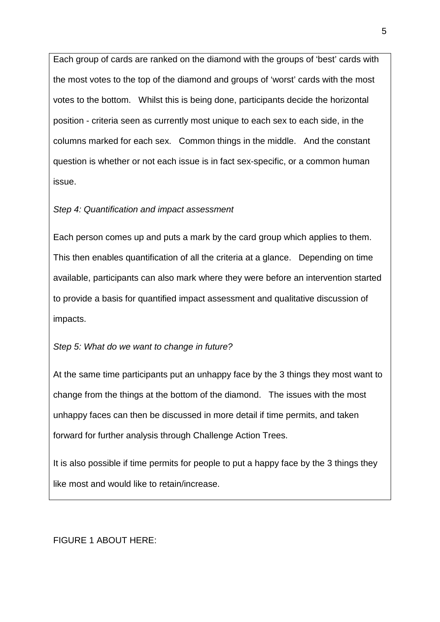Each group of cards are ranked on the diamond with the groups of 'best' cards with the most votes to the top of the diamond and groups of 'worst' cards with the most votes to the bottom. Whilst this is being done, participants decide the horizontal position - criteria seen as currently most unique to each sex to each side, in the columns marked for each sex. Common things in the middle. And the constant question is whether or not each issue is in fact sex-specific, or a common human issue.

### *Step 4: Quantification and impact assessment*

Each person comes up and puts a mark by the card group which applies to them. This then enables quantification of all the criteria at a glance. Depending on time available, participants can also mark where they were before an intervention started to provide a basis for quantified impact assessment and qualitative discussion of impacts.

### *Step 5: What do we want to change in future?*

At the same time participants put an unhappy face by the 3 things they most want to change from the things at the bottom of the diamond. The issues with the most unhappy faces can then be discussed in more detail if time permits, and taken forward for further analysis through Challenge Action Trees.

It is also possible if time permits for people to put a happy face by the 3 things they like most and would like to retain/increase.

FIGURE 1 ABOUT HERE: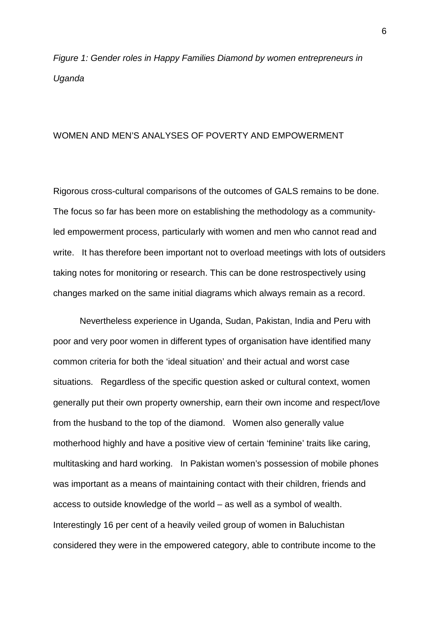*Figure 1: Gender roles in Happy Families Diamond by women entrepreneurs in Uganda*

### WOMEN AND MEN'S ANALYSES OF POVERTY AND EMPOWERMENT

Rigorous cross-cultural comparisons of the outcomes of GALS remains to be done. The focus so far has been more on establishing the methodology as a communityled empowerment process, particularly with women and men who cannot read and write. It has therefore been important not to overload meetings with lots of outsiders taking notes for monitoring or research. This can be done restrospectively using changes marked on the same initial diagrams which always remain as a record.

Nevertheless experience in Uganda, Sudan, Pakistan, India and Peru with poor and very poor women in different types of organisation have identified many common criteria for both the 'ideal situation' and their actual and worst case situations. Regardless of the specific question asked or cultural context, women generally put their own property ownership, earn their own income and respect/love from the husband to the top of the diamond. Women also generally value motherhood highly and have a positive view of certain 'feminine' traits like caring, multitasking and hard working. In Pakistan women's possession of mobile phones was important as a means of maintaining contact with their children, friends and access to outside knowledge of the world – as well as a symbol of wealth. Interestingly 16 per cent of a heavily veiled group of women in Baluchistan considered they were in the empowered category, able to contribute income to the

6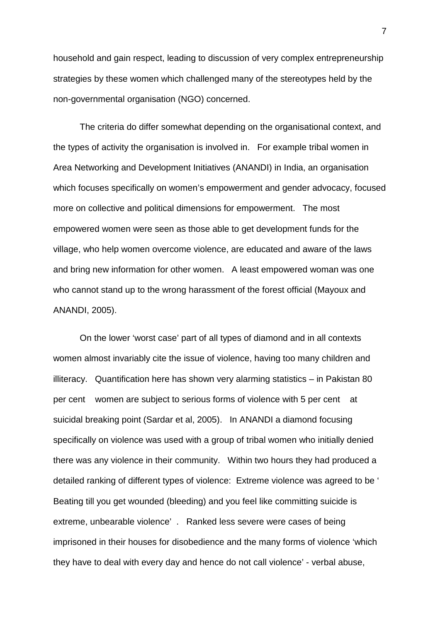household and gain respect, leading to discussion of very complex entrepreneurship strategies by these women which challenged many of the stereotypes held by the non-governmental organisation (NGO) concerned.

The criteria do differ somewhat depending on the organisational context, and the types of activity the organisation is involved in. For example tribal women in Area Networking and Development Initiatives (ANANDI) in India, an organisation which focuses specifically on women's empowerment and gender advocacy, focused more on collective and political dimensions for empowerment. The most empowered women were seen as those able to get development funds for the village, who help women overcome violence, are educated and aware of the laws and bring new information for other women. A least empowered woman was one who cannot stand up to the wrong harassment of the forest official (Mayoux and ANANDI, 2005).

On the lower 'worst case' part of all types of diamond and in all contexts women almost invariably cite the issue of violence, having too many children and illiteracy. Quantification here has shown very alarming statistics – in Pakistan 80 per cent women are subject to serious forms of violence with 5 per cent at suicidal breaking point (Sardar et al, 2005). In ANANDI a diamond focusing specifically on violence was used with a group of tribal women who initially denied there was any violence in their community. Within two hours they had produced a detailed ranking of different types of violence: Extreme violence was agreed to be ' Beating till you get wounded (bleeding) and you feel like committing suicide is extreme, unbearable violence' . Ranked less severe were cases of being imprisoned in their houses for disobedience and the many forms of violence 'which they have to deal with every day and hence do not call violence' - verbal abuse,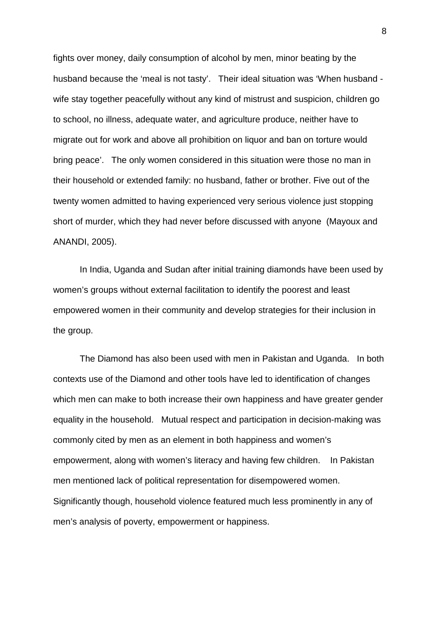fights over money, daily consumption of alcohol by men, minor beating by the husband because the 'meal is not tasty'. Their ideal situation was 'When husband wife stay together peacefully without any kind of mistrust and suspicion, children go to school, no illness, adequate water, and agriculture produce, neither have to migrate out for work and above all prohibition on liquor and ban on torture would bring peace'. The only women considered in this situation were those no man in their household or extended family: no husband, father or brother. Five out of the twenty women admitted to having experienced very serious violence just stopping short of murder, which they had never before discussed with anyone (Mayoux and ANANDI, 2005).

In India, Uganda and Sudan after initial training diamonds have been used by women's groups without external facilitation to identify the poorest and least empowered women in their community and develop strategies for their inclusion in the group.

The Diamond has also been used with men in Pakistan and Uganda. In both contexts use of the Diamond and other tools have led to identification of changes which men can make to both increase their own happiness and have greater gender equality in the household. Mutual respect and participation in decision-making was commonly cited by men as an element in both happiness and women's empowerment, along with women's literacy and having few children. In Pakistan men mentioned lack of political representation for disempowered women. Significantly though, household violence featured much less prominently in any of men's analysis of poverty, empowerment or happiness.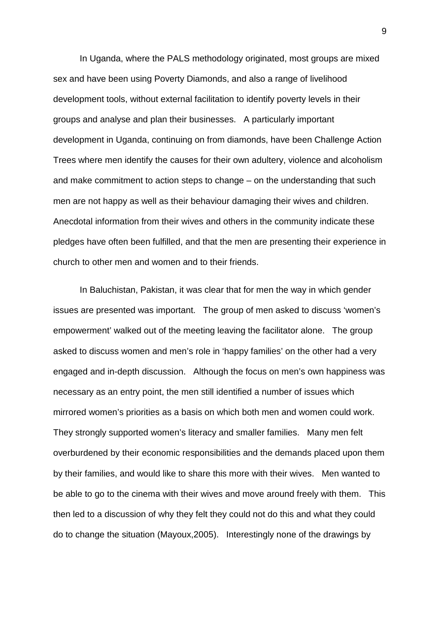In Uganda, where the PALS methodology originated, most groups are mixed sex and have been using Poverty Diamonds, and also a range of livelihood development tools, without external facilitation to identify poverty levels in their groups and analyse and plan their businesses. A particularly important development in Uganda, continuing on from diamonds, have been Challenge Action Trees where men identify the causes for their own adultery, violence and alcoholism and make commitment to action steps to change – on the understanding that such men are not happy as well as their behaviour damaging their wives and children. Anecdotal information from their wives and others in the community indicate these pledges have often been fulfilled, and that the men are presenting their experience in church to other men and women and to their friends.

In Baluchistan, Pakistan, it was clear that for men the way in which gender issues are presented was important. The group of men asked to discuss 'women's empowerment' walked out of the meeting leaving the facilitator alone. The group asked to discuss women and men's role in 'happy families' on the other had a very engaged and in-depth discussion. Although the focus on men's own happiness was necessary as an entry point, the men still identified a number of issues which mirrored women's priorities as a basis on which both men and women could work. They strongly supported women's literacy and smaller families. Many men felt overburdened by their economic responsibilities and the demands placed upon them by their families, and would like to share this more with their wives. Men wanted to be able to go to the cinema with their wives and move around freely with them. This then led to a discussion of why they felt they could not do this and what they could do to change the situation (Mayoux,2005). Interestingly none of the drawings by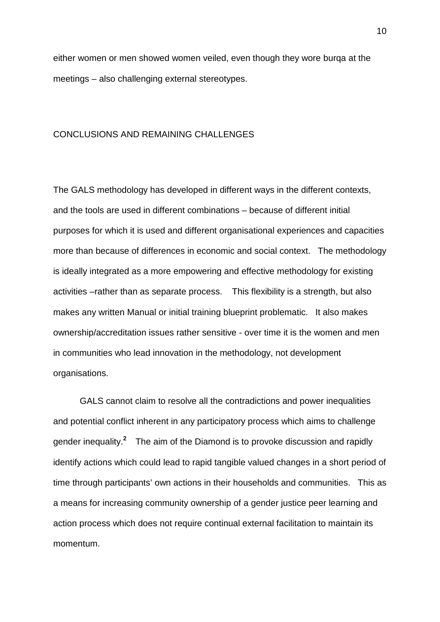either women or men showed women veiled, even though they wore burqa at the meetings – also challenging external stereotypes.

### CONCLUSIONS AND REMAINING CHALLENGES

The GALS methodology has developed in different ways in the different contexts, and the tools are used in different combinations – because of different initial purposes for which it is used and different organisational experiences and capacities more than because of differences in economic and social context. The methodology is ideally integrated as a more empowering and effective methodology for existing activities –rather than as separate process. This flexibility is a strength, but also makes any written Manual or initial training blueprint problematic. It also makes ownership/accreditation issues rather sensitive - over time it is the women and men in communities who lead innovation in the methodology, not development organisations.

GALS cannot claim to resolve all the contradictions and power inequalities and potential conflict inherent in any participatory process which aims to challenge gender inequality.<sup>2</sup> The aim of the Diamond is to provoke discussion and rapidly identify actions which could lead to rapid tangible valued changes in a short period of time through participants' own actions in their households and communities. This as a means for increasing community ownership of a gender justice peer learning and action process which does not require continual external facilitation to maintain its momentum.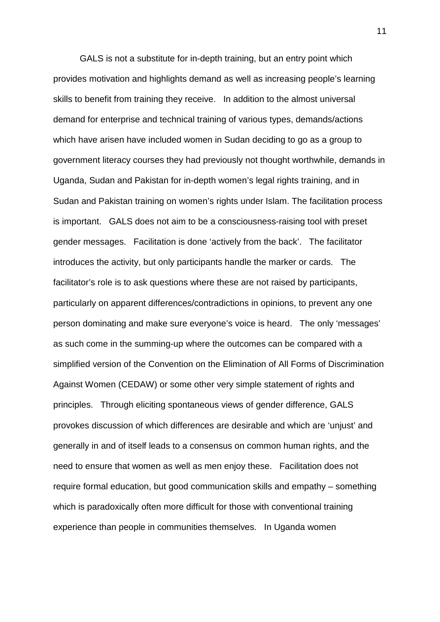GALS is not a substitute for in-depth training, but an entry point which provides motivation and highlights demand as well as increasing people's learning skills to benefit from training they receive. In addition to the almost universal demand for enterprise and technical training of various types, demands/actions which have arisen have included women in Sudan deciding to go as a group to government literacy courses they had previously not thought worthwhile, demands in Uganda, Sudan and Pakistan for in-depth women's legal rights training, and in Sudan and Pakistan training on women's rights under Islam. The facilitation process is important. GALS does not aim to be a consciousness-raising tool with preset gender messages. Facilitation is done 'actively from the back'. The facilitator introduces the activity, but only participants handle the marker or cards. The facilitator's role is to ask questions where these are not raised by participants, particularly on apparent differences/contradictions in opinions, to prevent any one person dominating and make sure everyone's voice is heard. The only 'messages' as such come in the summing-up where the outcomes can be compared with a simplified version of the Convention on the Elimination of All Forms of Discrimination Against Women (CEDAW) or some other very simple statement of rights and principles. Through eliciting spontaneous views of gender difference, GALS provokes discussion of which differences are desirable and which are 'unjust' and generally in and of itself leads to a consensus on common human rights, and the need to ensure that women as well as men enjoy these. Facilitation does not require formal education, but good communication skills and empathy – something which is paradoxically often more difficult for those with conventional training experience than people in communities themselves. In Uganda women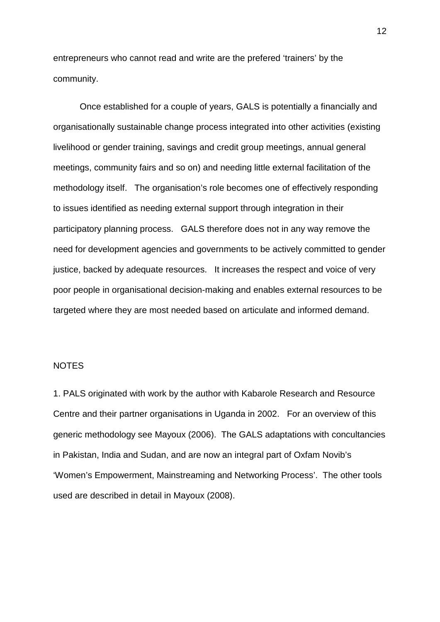entrepreneurs who cannot read and write are the prefered 'trainers' by the community.

Once established for a couple of years, GALS is potentially a financially and organisationally sustainable change process integrated into other activities (existing livelihood or gender training, savings and credit group meetings, annual general meetings, community fairs and so on) and needing little external facilitation of the methodology itself. The organisation's role becomes one of effectively responding to issues identified as needing external support through integration in their participatory planning process. GALS therefore does not in any way remove the need for development agencies and governments to be actively committed to gender justice, backed by adequate resources. It increases the respect and voice of very poor people in organisational decision-making and enables external resources to be targeted where they are most needed based on articulate and informed demand.

## NOTES

1. PALS originated with work by the author with Kabarole Research and Resource Centre and their partner organisations in Uganda in 2002. For an overview of this generic methodology see Mayoux (2006). The GALS adaptations with concultancies in Pakistan, India and Sudan, and are now an integral part of Oxfam Novib's 'Women's Empowerment, Mainstreaming and Networking Process'. The other tools used are described in detail in Mayoux (2008).

12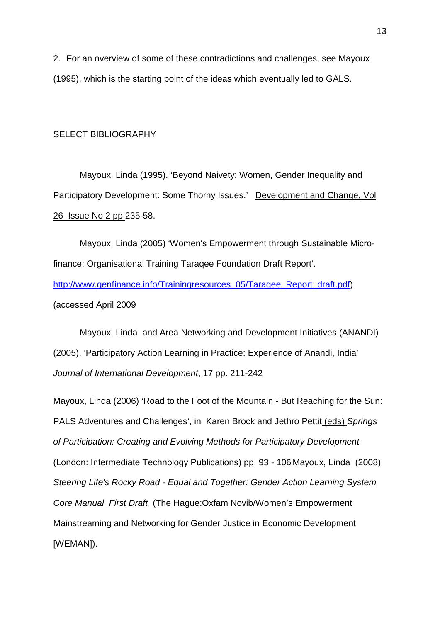2. For an overview of some of these contradictions and challenges, see Mayoux (1995), which is the starting point of the ideas which eventually led to GALS.

#### SELECT BIBLIOGRAPHY

Mayoux, Linda (1995). 'Beyond Naivety: Women, Gender Inequality and Participatory Development: Some Thorny Issues.' Development and Change, Vol 26 Issue No 2 pp 235-58.

Mayoux, Linda (2005) 'Women's Empowerment through Sustainable Microfinance: Organisational Training Taraqee Foundation Draft Report'. [http://www.genfinance.info/Trainingresources\\_05/Taraqee\\_Report\\_draft.pdf\)](http://www.genfinance.info/Trainingresources_05/Taraqee_Report_draft.pdf) (accessed April 2009

Mayoux, Linda and Area Networking and Development Initiatives (ANANDI) (2005). 'Participatory Action Learning in Practice: Experience of Anandi, India' *Journal of International Development*, 17 pp. 211-242

Mayoux, Linda (2006) 'Road to the Foot of the Mountain - But Reaching for the Sun: PALS Adventures and Challenges', in Karen Brock and Jethro Pettit (eds) *Springs of Participation: Creating and Evolving Methods for Participatory Development* (London: Intermediate Technology Publications) pp. 93 - 106 Mayoux, Linda (2008) *Steering Life's Rocky Road - Equal and Together: Gender Action Learning System Core Manual First Draft* (The Hague:Oxfam Novib/Women's Empowerment Mainstreaming and Networking for Gender Justice in Economic Development [WEMAN]).